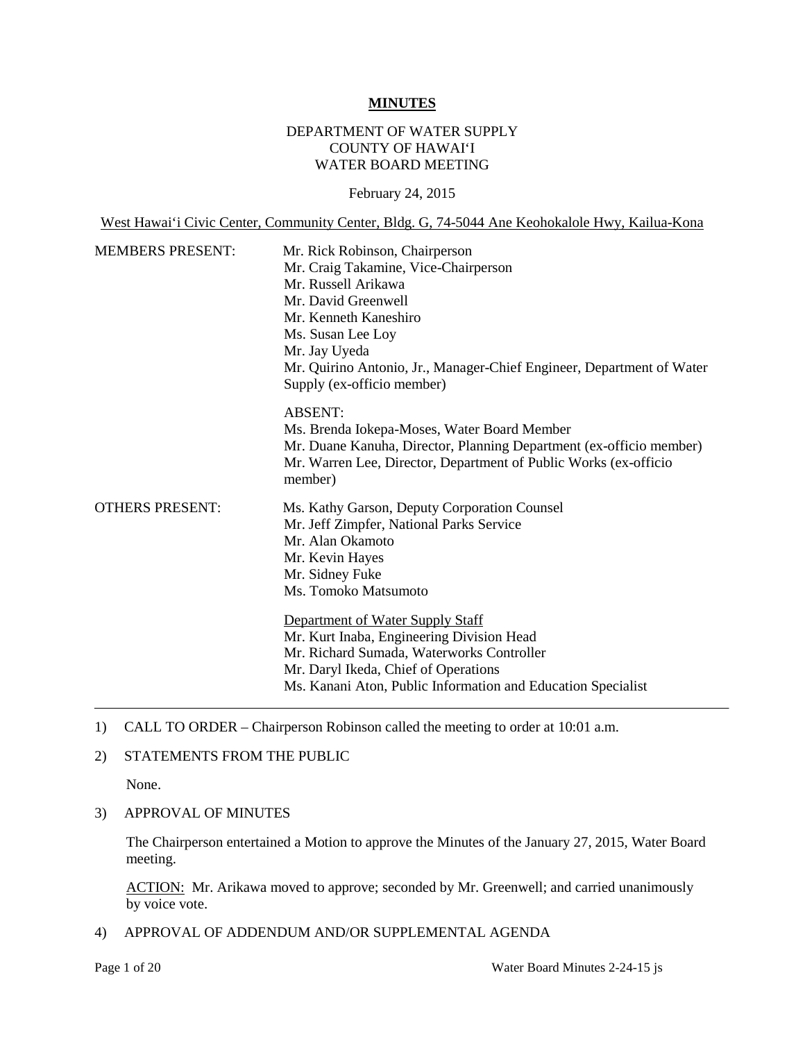#### **MINUTES**

## DEPARTMENT OF WATER SUPPLY COUNTY OF HAWAI'I WATER BOARD MEETING

February 24, 2015

West Hawai'i Civic Center, Community Center, Bldg. G, 74-5044 Ane Keohokalole Hwy, Kailua-Kona

| <b>MEMBERS PRESENT:</b> | Mr. Rick Robinson, Chairperson<br>Mr. Craig Takamine, Vice-Chairperson<br>Mr. Russell Arikawa<br>Mr. David Greenwell<br>Mr. Kenneth Kaneshiro<br>Ms. Susan Lee Loy<br>Mr. Jay Uyeda<br>Mr. Quirino Antonio, Jr., Manager-Chief Engineer, Department of Water<br>Supply (ex-officio member)               |
|-------------------------|----------------------------------------------------------------------------------------------------------------------------------------------------------------------------------------------------------------------------------------------------------------------------------------------------------|
|                         | <b>ABSENT:</b><br>Ms. Brenda Iokepa-Moses, Water Board Member<br>Mr. Duane Kanuha, Director, Planning Department (ex-officio member)<br>Mr. Warren Lee, Director, Department of Public Works (ex-officio<br>member)                                                                                      |
| <b>OTHERS PRESENT:</b>  | Ms. Kathy Garson, Deputy Corporation Counsel<br>Mr. Jeff Zimpfer, National Parks Service<br>Mr. Alan Okamoto<br>Mr. Kevin Hayes<br>Mr. Sidney Fuke<br>Ms. Tomoko Matsumoto<br>Department of Water Supply Staff<br>Mr. Kurt Inaba, Engineering Division Head<br>Mr. Richard Sumada, Waterworks Controller |
|                         | Mr. Daryl Ikeda, Chief of Operations<br>Ms. Kanani Aton, Public Information and Education Specialist                                                                                                                                                                                                     |

1) CALL TO ORDER – Chairperson Robinson called the meeting to order at 10:01 a.m.

### 2) STATEMENTS FROM THE PUBLIC

None.

3) APPROVAL OF MINUTES

The Chairperson entertained a Motion to approve the Minutes of the January 27, 2015, Water Board meeting.

ACTION: Mr. Arikawa moved to approve; seconded by Mr. Greenwell; and carried unanimously by voice vote.

4) APPROVAL OF ADDENDUM AND/OR SUPPLEMENTAL AGENDA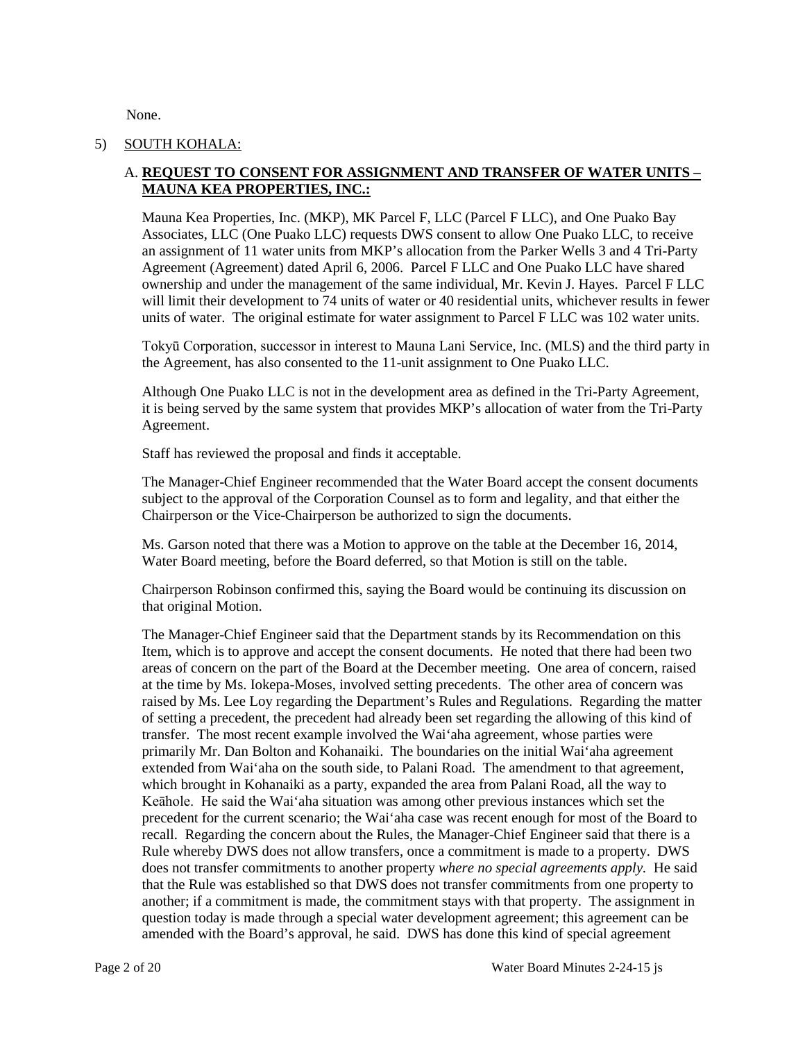None.

## 5) SOUTH KOHALA:

## A. **REQUEST TO CONSENT FOR ASSIGNMENT AND TRANSFER OF WATER UNITS – MAUNA KEA PROPERTIES, INC.:**

Mauna Kea Properties, Inc. (MKP), MK Parcel F, LLC (Parcel F LLC), and One Puako Bay Associates, LLC (One Puako LLC) requests DWS consent to allow One Puako LLC, to receive an assignment of 11 water units from MKP's allocation from the Parker Wells 3 and 4 Tri-Party Agreement (Agreement) dated April 6, 2006. Parcel F LLC and One Puako LLC have shared ownership and under the management of the same individual, Mr. Kevin J. Hayes. Parcel F LLC will limit their development to 74 units of water or 40 residential units, whichever results in fewer units of water. The original estimate for water assignment to Parcel F LLC was 102 water units.

Tokyū Corporation, successor in interest to Mauna Lani Service, Inc. (MLS) and the third party in the Agreement, has also consented to the 11-unit assignment to One Puako LLC.

Although One Puako LLC is not in the development area as defined in the Tri-Party Agreement, it is being served by the same system that provides MKP's allocation of water from the Tri-Party Agreement.

Staff has reviewed the proposal and finds it acceptable.

The Manager-Chief Engineer recommended that the Water Board accept the consent documents subject to the approval of the Corporation Counsel as to form and legality, and that either the Chairperson or the Vice-Chairperson be authorized to sign the documents.

Ms. Garson noted that there was a Motion to approve on the table at the December 16, 2014, Water Board meeting, before the Board deferred, so that Motion is still on the table.

Chairperson Robinson confirmed this, saying the Board would be continuing its discussion on that original Motion.

The Manager-Chief Engineer said that the Department stands by its Recommendation on this Item, which is to approve and accept the consent documents. He noted that there had been two areas of concern on the part of the Board at the December meeting. One area of concern, raised at the time by Ms. Iokepa-Moses, involved setting precedents. The other area of concern was raised by Ms. Lee Loy regarding the Department's Rules and Regulations. Regarding the matter of setting a precedent, the precedent had already been set regarding the allowing of this kind of transfer. The most recent example involved the Wai'aha agreement, whose parties were primarily Mr. Dan Bolton and Kohanaiki. The boundaries on the initial Wai'aha agreement extended from Wai'aha on the south side, to Palani Road. The amendment to that agreement, which brought in Kohanaiki as a party, expanded the area from Palani Road, all the way to Keāhole. He said the Wai'aha situation was among other previous instances which set the precedent for the current scenario; the Wai'aha case was recent enough for most of the Board to recall. Regarding the concern about the Rules, the Manager-Chief Engineer said that there is a Rule whereby DWS does not allow transfers, once a commitment is made to a property. DWS does not transfer commitments to another property *where no special agreements apply.* He said that the Rule was established so that DWS does not transfer commitments from one property to another; if a commitment is made, the commitment stays with that property. The assignment in question today is made through a special water development agreement; this agreement can be amended with the Board's approval, he said. DWS has done this kind of special agreement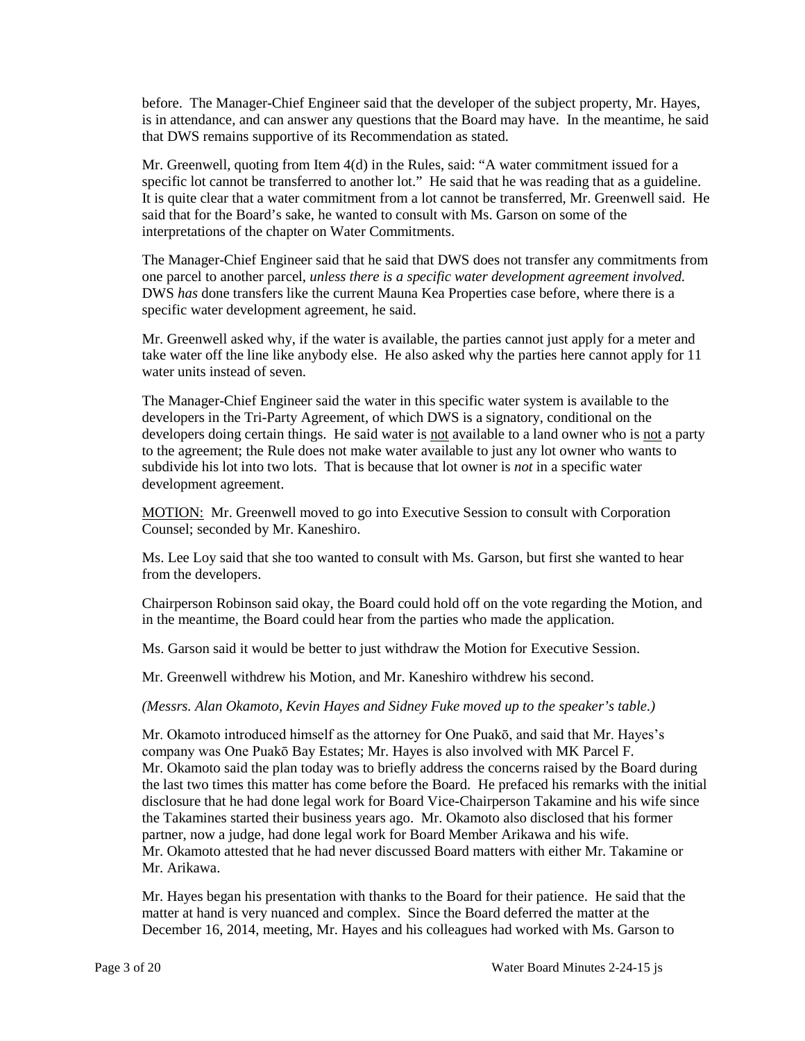before. The Manager-Chief Engineer said that the developer of the subject property, Mr. Hayes, is in attendance, and can answer any questions that the Board may have. In the meantime, he said that DWS remains supportive of its Recommendation as stated.

Mr. Greenwell, quoting from Item 4(d) in the Rules, said: "A water commitment issued for a specific lot cannot be transferred to another lot." He said that he was reading that as a guideline. It is quite clear that a water commitment from a lot cannot be transferred, Mr. Greenwell said. He said that for the Board's sake, he wanted to consult with Ms. Garson on some of the interpretations of the chapter on Water Commitments.

The Manager-Chief Engineer said that he said that DWS does not transfer any commitments from one parcel to another parcel, *unless there is a specific water development agreement involved.* DWS *has* done transfers like the current Mauna Kea Properties case before, where there is a specific water development agreement, he said.

Mr. Greenwell asked why, if the water is available, the parties cannot just apply for a meter and take water off the line like anybody else. He also asked why the parties here cannot apply for 11 water units instead of seven.

The Manager-Chief Engineer said the water in this specific water system is available to the developers in the Tri-Party Agreement, of which DWS is a signatory, conditional on the developers doing certain things. He said water is not available to a land owner who is not a party to the agreement; the Rule does not make water available to just any lot owner who wants to subdivide his lot into two lots. That is because that lot owner is *not* in a specific water development agreement.

**MOTION:** Mr. Greenwell moved to go into Executive Session to consult with Corporation Counsel; seconded by Mr. Kaneshiro.

Ms. Lee Loy said that she too wanted to consult with Ms. Garson, but first she wanted to hear from the developers.

Chairperson Robinson said okay, the Board could hold off on the vote regarding the Motion, and in the meantime, the Board could hear from the parties who made the application.

Ms. Garson said it would be better to just withdraw the Motion for Executive Session.

Mr. Greenwell withdrew his Motion, and Mr. Kaneshiro withdrew his second.

*(Messrs. Alan Okamoto, Kevin Hayes and Sidney Fuke moved up to the speaker's table.)*

Mr. Okamoto introduced himself as the attorney for One Puakō, and said that Mr. Hayes's company was One Puakō Bay Estates; Mr. Hayes is also involved with MK Parcel F. Mr. Okamoto said the plan today was to briefly address the concerns raised by the Board during the last two times this matter has come before the Board. He prefaced his remarks with the initial disclosure that he had done legal work for Board Vice-Chairperson Takamine and his wife since the Takamines started their business years ago. Mr. Okamoto also disclosed that his former partner, now a judge, had done legal work for Board Member Arikawa and his wife. Mr. Okamoto attested that he had never discussed Board matters with either Mr. Takamine or Mr. Arikawa.

Mr. Hayes began his presentation with thanks to the Board for their patience. He said that the matter at hand is very nuanced and complex. Since the Board deferred the matter at the December 16, 2014, meeting, Mr. Hayes and his colleagues had worked with Ms. Garson to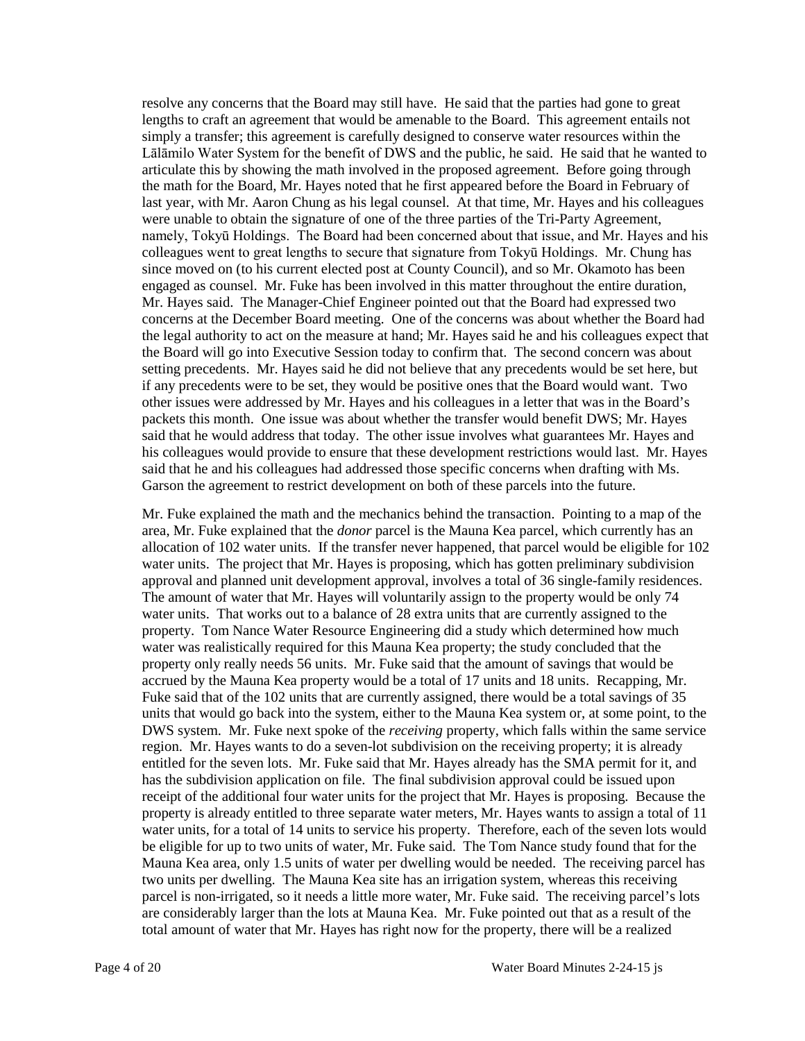resolve any concerns that the Board may still have. He said that the parties had gone to great lengths to craft an agreement that would be amenable to the Board. This agreement entails not simply a transfer; this agreement is carefully designed to conserve water resources within the Lālāmilo Water System for the benefit of DWS and the public, he said. He said that he wanted to articulate this by showing the math involved in the proposed agreement. Before going through the math for the Board, Mr. Hayes noted that he first appeared before the Board in February of last year, with Mr. Aaron Chung as his legal counsel. At that time, Mr. Hayes and his colleagues were unable to obtain the signature of one of the three parties of the Tri-Party Agreement, namely, Tokyū Holdings. The Board had been concerned about that issue, and Mr. Hayes and his colleagues went to great lengths to secure that signature from Tokyū Holdings. Mr. Chung has since moved on (to his current elected post at County Council), and so Mr. Okamoto has been engaged as counsel. Mr. Fuke has been involved in this matter throughout the entire duration, Mr. Hayes said. The Manager-Chief Engineer pointed out that the Board had expressed two concerns at the December Board meeting. One of the concerns was about whether the Board had the legal authority to act on the measure at hand; Mr. Hayes said he and his colleagues expect that the Board will go into Executive Session today to confirm that. The second concern was about setting precedents. Mr. Hayes said he did not believe that any precedents would be set here, but if any precedents were to be set, they would be positive ones that the Board would want. Two other issues were addressed by Mr. Hayes and his colleagues in a letter that was in the Board's packets this month. One issue was about whether the transfer would benefit DWS; Mr. Hayes said that he would address that today. The other issue involves what guarantees Mr. Hayes and his colleagues would provide to ensure that these development restrictions would last. Mr. Hayes said that he and his colleagues had addressed those specific concerns when drafting with Ms. Garson the agreement to restrict development on both of these parcels into the future.

Mr. Fuke explained the math and the mechanics behind the transaction. Pointing to a map of the area, Mr. Fuke explained that the *donor* parcel is the Mauna Kea parcel, which currently has an allocation of 102 water units. If the transfer never happened, that parcel would be eligible for 102 water units. The project that Mr. Hayes is proposing, which has gotten preliminary subdivision approval and planned unit development approval, involves a total of 36 single-family residences. The amount of water that Mr. Hayes will voluntarily assign to the property would be only 74 water units. That works out to a balance of 28 extra units that are currently assigned to the property. Tom Nance Water Resource Engineering did a study which determined how much water was realistically required for this Mauna Kea property; the study concluded that the property only really needs 56 units. Mr. Fuke said that the amount of savings that would be accrued by the Mauna Kea property would be a total of 17 units and 18 units. Recapping, Mr. Fuke said that of the 102 units that are currently assigned, there would be a total savings of 35 units that would go back into the system, either to the Mauna Kea system or, at some point, to the DWS system. Mr. Fuke next spoke of the *receiving* property, which falls within the same service region. Mr. Hayes wants to do a seven-lot subdivision on the receiving property; it is already entitled for the seven lots. Mr. Fuke said that Mr. Hayes already has the SMA permit for it, and has the subdivision application on file. The final subdivision approval could be issued upon receipt of the additional four water units for the project that Mr. Hayes is proposing. Because the property is already entitled to three separate water meters, Mr. Hayes wants to assign a total of 11 water units, for a total of 14 units to service his property. Therefore, each of the seven lots would be eligible for up to two units of water, Mr. Fuke said. The Tom Nance study found that for the Mauna Kea area, only 1.5 units of water per dwelling would be needed. The receiving parcel has two units per dwelling. The Mauna Kea site has an irrigation system, whereas this receiving parcel is non-irrigated, so it needs a little more water, Mr. Fuke said. The receiving parcel's lots are considerably larger than the lots at Mauna Kea. Mr. Fuke pointed out that as a result of the total amount of water that Mr. Hayes has right now for the property, there will be a realized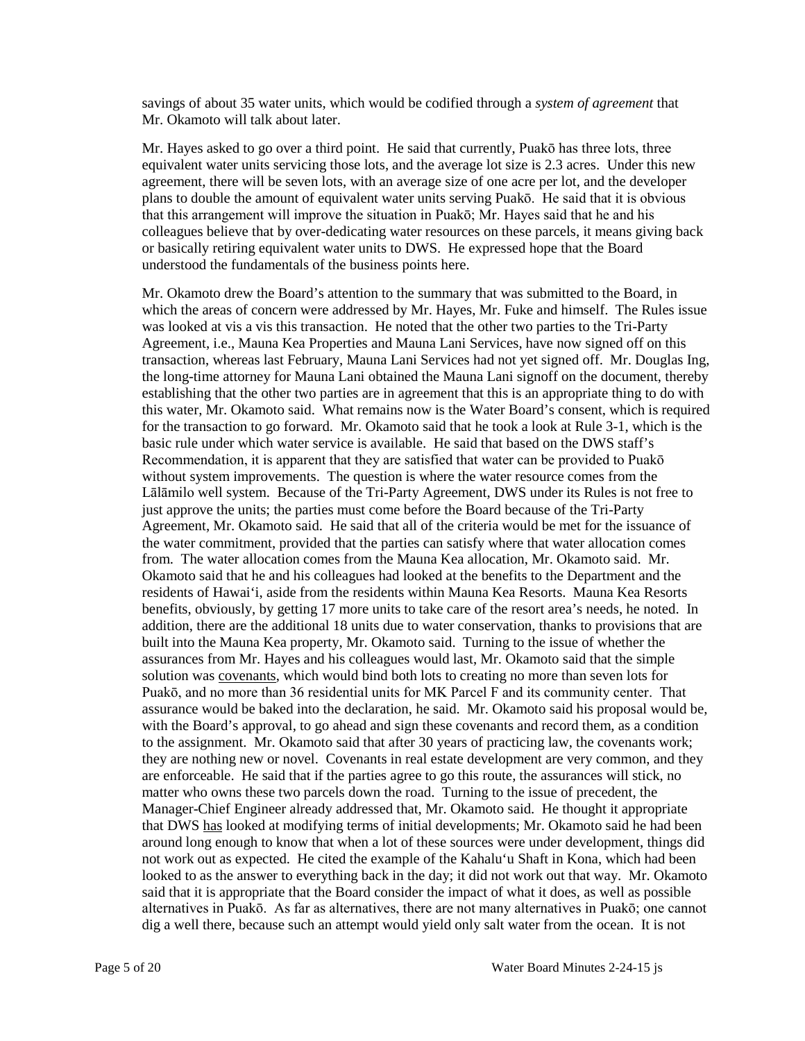savings of about 35 water units, which would be codified through a *system of agreement* that Mr. Okamoto will talk about later.

Mr. Hayes asked to go over a third point. He said that currently, Puakō has three lots, three equivalent water units servicing those lots, and the average lot size is 2.3 acres. Under this new agreement, there will be seven lots, with an average size of one acre per lot, and the developer plans to double the amount of equivalent water units serving Puakō. He said that it is obvious that this arrangement will improve the situation in Puakō; Mr. Hayes said that he and his colleagues believe that by over-dedicating water resources on these parcels, it means giving back or basically retiring equivalent water units to DWS. He expressed hope that the Board understood the fundamentals of the business points here.

Mr. Okamoto drew the Board's attention to the summary that was submitted to the Board, in which the areas of concern were addressed by Mr. Hayes, Mr. Fuke and himself. The Rules issue was looked at vis a vis this transaction. He noted that the other two parties to the Tri-Party Agreement, i.e., Mauna Kea Properties and Mauna Lani Services, have now signed off on this transaction, whereas last February, Mauna Lani Services had not yet signed off. Mr. Douglas Ing, the long-time attorney for Mauna Lani obtained the Mauna Lani signoff on the document, thereby establishing that the other two parties are in agreement that this is an appropriate thing to do with this water, Mr. Okamoto said. What remains now is the Water Board's consent, which is required for the transaction to go forward. Mr. Okamoto said that he took a look at Rule 3-1, which is the basic rule under which water service is available. He said that based on the DWS staff's Recommendation, it is apparent that they are satisfied that water can be provided to Puakō without system improvements. The question is where the water resource comes from the Lālāmilo well system. Because of the Tri-Party Agreement, DWS under its Rules is not free to just approve the units; the parties must come before the Board because of the Tri-Party Agreement, Mr. Okamoto said. He said that all of the criteria would be met for the issuance of the water commitment, provided that the parties can satisfy where that water allocation comes from. The water allocation comes from the Mauna Kea allocation, Mr. Okamoto said. Mr. Okamoto said that he and his colleagues had looked at the benefits to the Department and the residents of Hawai'i, aside from the residents within Mauna Kea Resorts. Mauna Kea Resorts benefits, obviously, by getting 17 more units to take care of the resort area's needs, he noted. In addition, there are the additional 18 units due to water conservation, thanks to provisions that are built into the Mauna Kea property, Mr. Okamoto said. Turning to the issue of whether the assurances from Mr. Hayes and his colleagues would last, Mr. Okamoto said that the simple solution was covenants, which would bind both lots to creating no more than seven lots for Puakō, and no more than 36 residential units for MK Parcel F and its community center. That assurance would be baked into the declaration, he said. Mr. Okamoto said his proposal would be, with the Board's approval, to go ahead and sign these covenants and record them, as a condition to the assignment. Mr. Okamoto said that after 30 years of practicing law, the covenants work; they are nothing new or novel. Covenants in real estate development are very common, and they are enforceable. He said that if the parties agree to go this route, the assurances will stick, no matter who owns these two parcels down the road. Turning to the issue of precedent, the Manager-Chief Engineer already addressed that, Mr. Okamoto said. He thought it appropriate that DWS has looked at modifying terms of initial developments; Mr. Okamoto said he had been around long enough to know that when a lot of these sources were under development, things did not work out as expected. He cited the example of the Kahalu'u Shaft in Kona, which had been looked to as the answer to everything back in the day; it did not work out that way. Mr. Okamoto said that it is appropriate that the Board consider the impact of what it does, as well as possible alternatives in Puakō. As far as alternatives, there are not many alternatives in Puakō; one cannot dig a well there, because such an attempt would yield only salt water from the ocean. It is not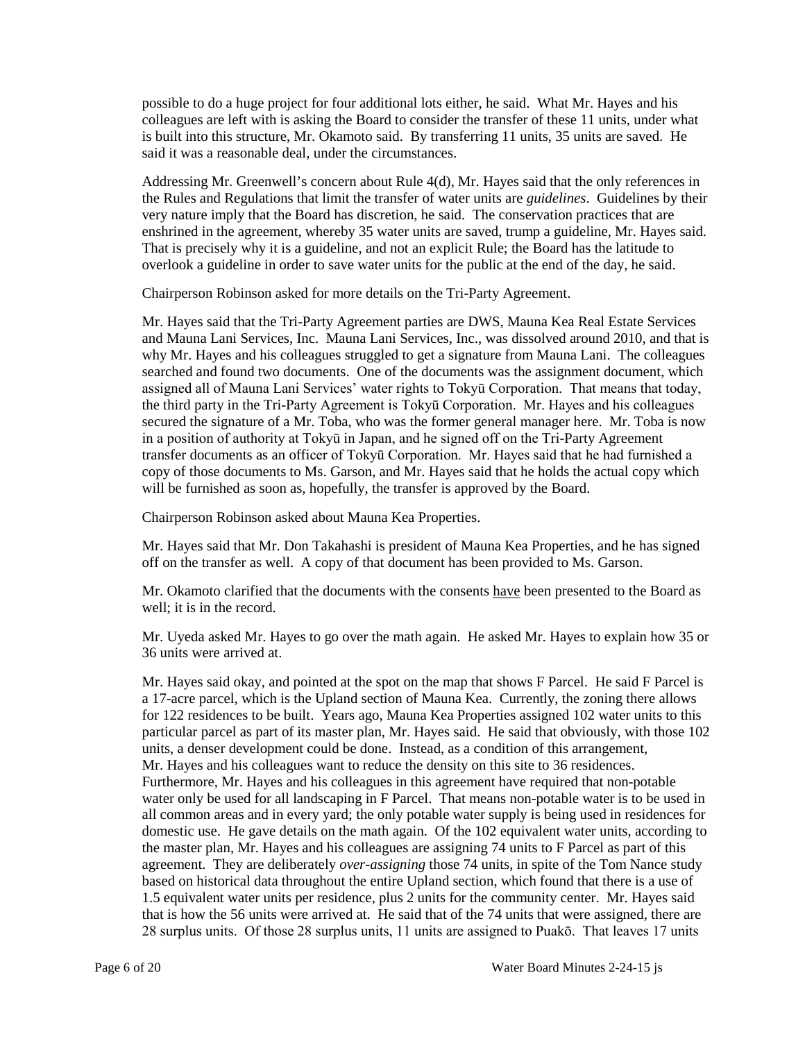possible to do a huge project for four additional lots either, he said. What Mr. Hayes and his colleagues are left with is asking the Board to consider the transfer of these 11 units, under what is built into this structure, Mr. Okamoto said. By transferring 11 units, 35 units are saved. He said it was a reasonable deal, under the circumstances.

Addressing Mr. Greenwell's concern about Rule 4(d), Mr. Hayes said that the only references in the Rules and Regulations that limit the transfer of water units are *guidelines*. Guidelines by their very nature imply that the Board has discretion, he said. The conservation practices that are enshrined in the agreement, whereby 35 water units are saved, trump a guideline, Mr. Hayes said. That is precisely why it is a guideline, and not an explicit Rule; the Board has the latitude to overlook a guideline in order to save water units for the public at the end of the day, he said.

Chairperson Robinson asked for more details on the Tri-Party Agreement.

Mr. Hayes said that the Tri-Party Agreement parties are DWS, Mauna Kea Real Estate Services and Mauna Lani Services, Inc. Mauna Lani Services, Inc., was dissolved around 2010, and that is why Mr. Hayes and his colleagues struggled to get a signature from Mauna Lani. The colleagues searched and found two documents. One of the documents was the assignment document, which assigned all of Mauna Lani Services' water rights to Tokyū Corporation. That means that today, the third party in the Tri-Party Agreement is Tokyū Corporation. Mr. Hayes and his colleagues secured the signature of a Mr. Toba, who was the former general manager here. Mr. Toba is now in a position of authority at Tokyū in Japan, and he signed off on the Tri-Party Agreement transfer documents as an officer of Tokyū Corporation. Mr. Hayes said that he had furnished a copy of those documents to Ms. Garson, and Mr. Hayes said that he holds the actual copy which will be furnished as soon as, hopefully, the transfer is approved by the Board.

Chairperson Robinson asked about Mauna Kea Properties.

Mr. Hayes said that Mr. Don Takahashi is president of Mauna Kea Properties, and he has signed off on the transfer as well. A copy of that document has been provided to Ms. Garson.

Mr. Okamoto clarified that the documents with the consents have been presented to the Board as well; it is in the record.

Mr. Uyeda asked Mr. Hayes to go over the math again. He asked Mr. Hayes to explain how 35 or 36 units were arrived at.

Mr. Hayes said okay, and pointed at the spot on the map that shows F Parcel. He said F Parcel is a 17-acre parcel, which is the Upland section of Mauna Kea. Currently, the zoning there allows for 122 residences to be built. Years ago, Mauna Kea Properties assigned 102 water units to this particular parcel as part of its master plan, Mr. Hayes said. He said that obviously, with those 102 units, a denser development could be done. Instead, as a condition of this arrangement, Mr. Hayes and his colleagues want to reduce the density on this site to 36 residences. Furthermore, Mr. Hayes and his colleagues in this agreement have required that non-potable water only be used for all landscaping in F Parcel. That means non-potable water is to be used in all common areas and in every yard; the only potable water supply is being used in residences for domestic use. He gave details on the math again. Of the 102 equivalent water units, according to the master plan, Mr. Hayes and his colleagues are assigning 74 units to F Parcel as part of this agreement. They are deliberately *over-assigning* those 74 units, in spite of the Tom Nance study based on historical data throughout the entire Upland section, which found that there is a use of 1.5 equivalent water units per residence, plus 2 units for the community center. Mr. Hayes said that is how the 56 units were arrived at. He said that of the 74 units that were assigned, there are 28 surplus units. Of those 28 surplus units, 11 units are assigned to Puakō. That leaves 17 units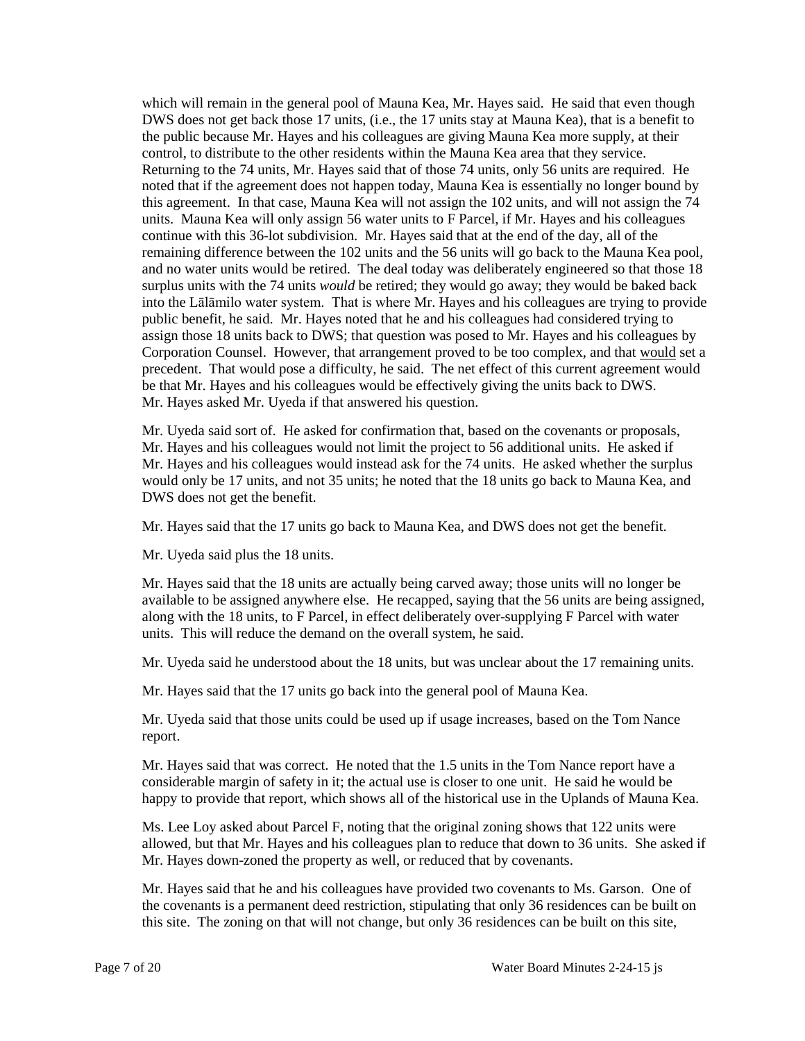which will remain in the general pool of Mauna Kea, Mr. Hayes said. He said that even though DWS does not get back those 17 units, (i.e., the 17 units stay at Mauna Kea), that is a benefit to the public because Mr. Hayes and his colleagues are giving Mauna Kea more supply, at their control, to distribute to the other residents within the Mauna Kea area that they service. Returning to the 74 units, Mr. Hayes said that of those 74 units, only 56 units are required. He noted that if the agreement does not happen today, Mauna Kea is essentially no longer bound by this agreement. In that case, Mauna Kea will not assign the 102 units, and will not assign the 74 units. Mauna Kea will only assign 56 water units to F Parcel, if Mr. Hayes and his colleagues continue with this 36-lot subdivision. Mr. Hayes said that at the end of the day, all of the remaining difference between the 102 units and the 56 units will go back to the Mauna Kea pool, and no water units would be retired. The deal today was deliberately engineered so that those 18 surplus units with the 74 units *would* be retired; they would go away; they would be baked back into the Lālāmilo water system. That is where Mr. Hayes and his colleagues are trying to provide public benefit, he said. Mr. Hayes noted that he and his colleagues had considered trying to assign those 18 units back to DWS; that question was posed to Mr. Hayes and his colleagues by Corporation Counsel. However, that arrangement proved to be too complex, and that would set a precedent. That would pose a difficulty, he said. The net effect of this current agreement would be that Mr. Hayes and his colleagues would be effectively giving the units back to DWS. Mr. Hayes asked Mr. Uyeda if that answered his question.

Mr. Uyeda said sort of. He asked for confirmation that, based on the covenants or proposals, Mr. Hayes and his colleagues would not limit the project to 56 additional units. He asked if Mr. Hayes and his colleagues would instead ask for the 74 units. He asked whether the surplus would only be 17 units, and not 35 units; he noted that the 18 units go back to Mauna Kea, and DWS does not get the benefit.

Mr. Hayes said that the 17 units go back to Mauna Kea, and DWS does not get the benefit.

Mr. Uyeda said plus the 18 units.

Mr. Hayes said that the 18 units are actually being carved away; those units will no longer be available to be assigned anywhere else. He recapped, saying that the 56 units are being assigned, along with the 18 units, to F Parcel, in effect deliberately over-supplying F Parcel with water units. This will reduce the demand on the overall system, he said.

Mr. Uyeda said he understood about the 18 units, but was unclear about the 17 remaining units.

Mr. Hayes said that the 17 units go back into the general pool of Mauna Kea.

Mr. Uyeda said that those units could be used up if usage increases, based on the Tom Nance report.

Mr. Hayes said that was correct. He noted that the 1.5 units in the Tom Nance report have a considerable margin of safety in it; the actual use is closer to one unit. He said he would be happy to provide that report, which shows all of the historical use in the Uplands of Mauna Kea.

Ms. Lee Loy asked about Parcel F, noting that the original zoning shows that 122 units were allowed, but that Mr. Hayes and his colleagues plan to reduce that down to 36 units. She asked if Mr. Hayes down-zoned the property as well, or reduced that by covenants.

Mr. Hayes said that he and his colleagues have provided two covenants to Ms. Garson. One of the covenants is a permanent deed restriction, stipulating that only 36 residences can be built on this site. The zoning on that will not change, but only 36 residences can be built on this site,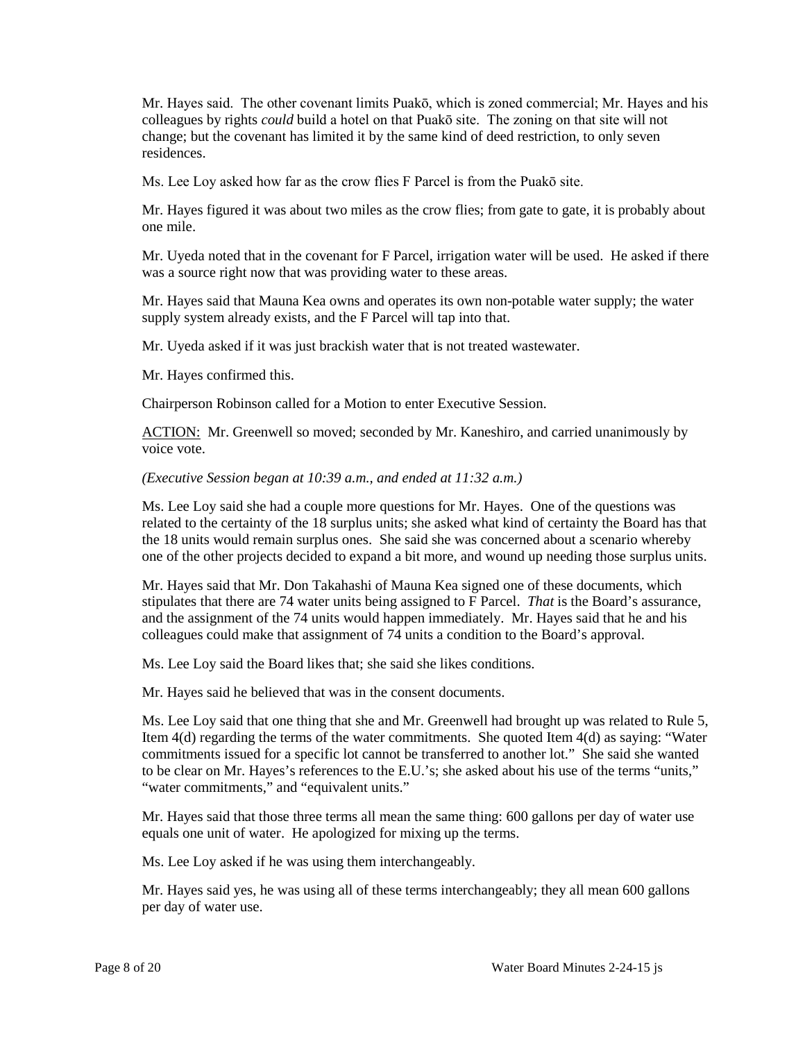Mr. Hayes said. The other covenant limits Puakō, which is zoned commercial; Mr. Hayes and his colleagues by rights *could* build a hotel on that Puakō site. The zoning on that site will not change; but the covenant has limited it by the same kind of deed restriction, to only seven residences.

Ms. Lee Loy asked how far as the crow flies F Parcel is from the Puakō site.

Mr. Hayes figured it was about two miles as the crow flies; from gate to gate, it is probably about one mile.

Mr. Uyeda noted that in the covenant for F Parcel, irrigation water will be used. He asked if there was a source right now that was providing water to these areas.

Mr. Hayes said that Mauna Kea owns and operates its own non-potable water supply; the water supply system already exists, and the F Parcel will tap into that.

Mr. Uyeda asked if it was just brackish water that is not treated wastewater.

Mr. Hayes confirmed this.

Chairperson Robinson called for a Motion to enter Executive Session.

ACTION: Mr. Greenwell so moved; seconded by Mr. Kaneshiro, and carried unanimously by voice vote.

#### *(Executive Session began at 10:39 a.m., and ended at 11:32 a.m.)*

Ms. Lee Loy said she had a couple more questions for Mr. Hayes. One of the questions was related to the certainty of the 18 surplus units; she asked what kind of certainty the Board has that the 18 units would remain surplus ones. She said she was concerned about a scenario whereby one of the other projects decided to expand a bit more, and wound up needing those surplus units.

Mr. Hayes said that Mr. Don Takahashi of Mauna Kea signed one of these documents, which stipulates that there are 74 water units being assigned to F Parcel. *That* is the Board's assurance, and the assignment of the 74 units would happen immediately. Mr. Hayes said that he and his colleagues could make that assignment of 74 units a condition to the Board's approval.

Ms. Lee Loy said the Board likes that; she said she likes conditions.

Mr. Hayes said he believed that was in the consent documents.

Ms. Lee Loy said that one thing that she and Mr. Greenwell had brought up was related to Rule 5, Item 4(d) regarding the terms of the water commitments. She quoted Item 4(d) as saying: "Water commitments issued for a specific lot cannot be transferred to another lot." She said she wanted to be clear on Mr. Hayes's references to the E.U.'s; she asked about his use of the terms "units," "water commitments," and "equivalent units."

Mr. Hayes said that those three terms all mean the same thing: 600 gallons per day of water use equals one unit of water. He apologized for mixing up the terms.

Ms. Lee Loy asked if he was using them interchangeably.

Mr. Hayes said yes, he was using all of these terms interchangeably; they all mean 600 gallons per day of water use.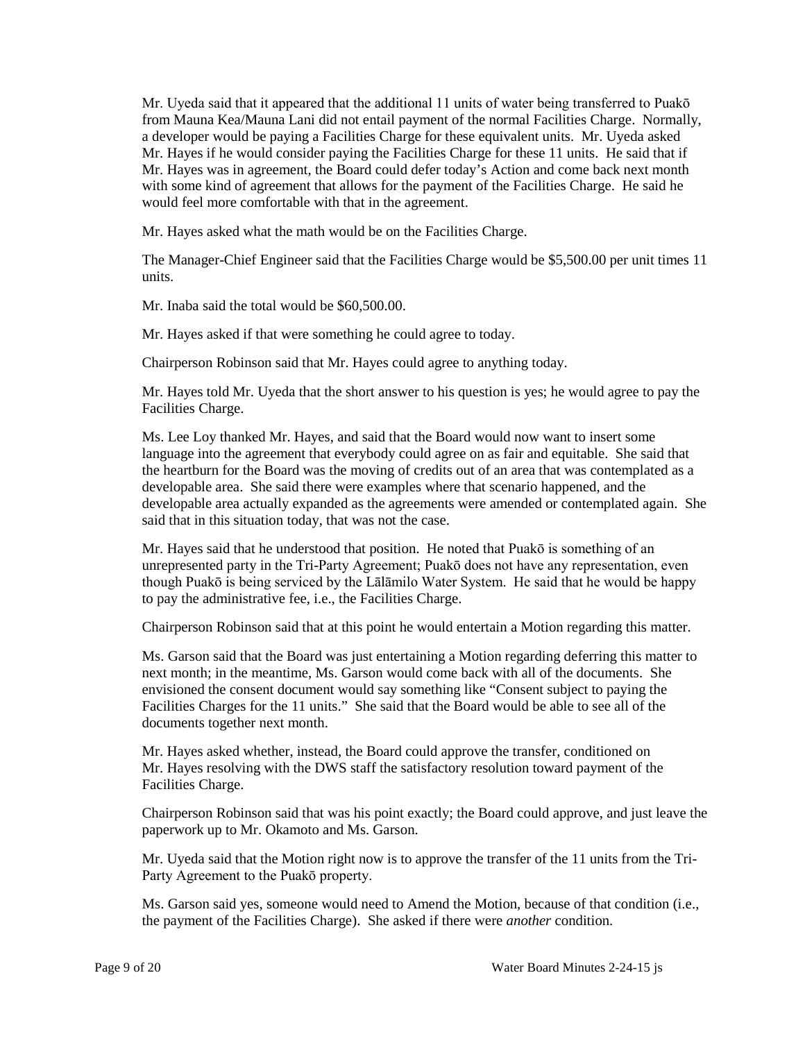Mr. Uyeda said that it appeared that the additional 11 units of water being transferred to Puakō from Mauna Kea/Mauna Lani did not entail payment of the normal Facilities Charge. Normally, a developer would be paying a Facilities Charge for these equivalent units. Mr. Uyeda asked Mr. Hayes if he would consider paying the Facilities Charge for these 11 units. He said that if Mr. Hayes was in agreement, the Board could defer today's Action and come back next month with some kind of agreement that allows for the payment of the Facilities Charge. He said he would feel more comfortable with that in the agreement.

Mr. Hayes asked what the math would be on the Facilities Charge.

The Manager-Chief Engineer said that the Facilities Charge would be \$5,500.00 per unit times 11 units.

Mr. Inaba said the total would be \$60,500.00.

Mr. Hayes asked if that were something he could agree to today.

Chairperson Robinson said that Mr. Hayes could agree to anything today.

Mr. Hayes told Mr. Uyeda that the short answer to his question is yes; he would agree to pay the Facilities Charge.

Ms. Lee Loy thanked Mr. Hayes, and said that the Board would now want to insert some language into the agreement that everybody could agree on as fair and equitable. She said that the heartburn for the Board was the moving of credits out of an area that was contemplated as a developable area. She said there were examples where that scenario happened, and the developable area actually expanded as the agreements were amended or contemplated again. She said that in this situation today, that was not the case.

Mr. Hayes said that he understood that position. He noted that Puakō is something of an unrepresented party in the Tri-Party Agreement; Puakō does not have any representation, even though Puakō is being serviced by the Lālāmilo Water System. He said that he would be happy to pay the administrative fee, i.e., the Facilities Charge.

Chairperson Robinson said that at this point he would entertain a Motion regarding this matter.

Ms. Garson said that the Board was just entertaining a Motion regarding deferring this matter to next month; in the meantime, Ms. Garson would come back with all of the documents. She envisioned the consent document would say something like "Consent subject to paying the Facilities Charges for the 11 units." She said that the Board would be able to see all of the documents together next month.

Mr. Hayes asked whether, instead, the Board could approve the transfer, conditioned on Mr. Hayes resolving with the DWS staff the satisfactory resolution toward payment of the Facilities Charge.

Chairperson Robinson said that was his point exactly; the Board could approve, and just leave the paperwork up to Mr. Okamoto and Ms. Garson.

Mr. Uyeda said that the Motion right now is to approve the transfer of the 11 units from the Tri-Party Agreement to the Puakō property.

Ms. Garson said yes, someone would need to Amend the Motion, because of that condition (i.e., the payment of the Facilities Charge). She asked if there were *another* condition.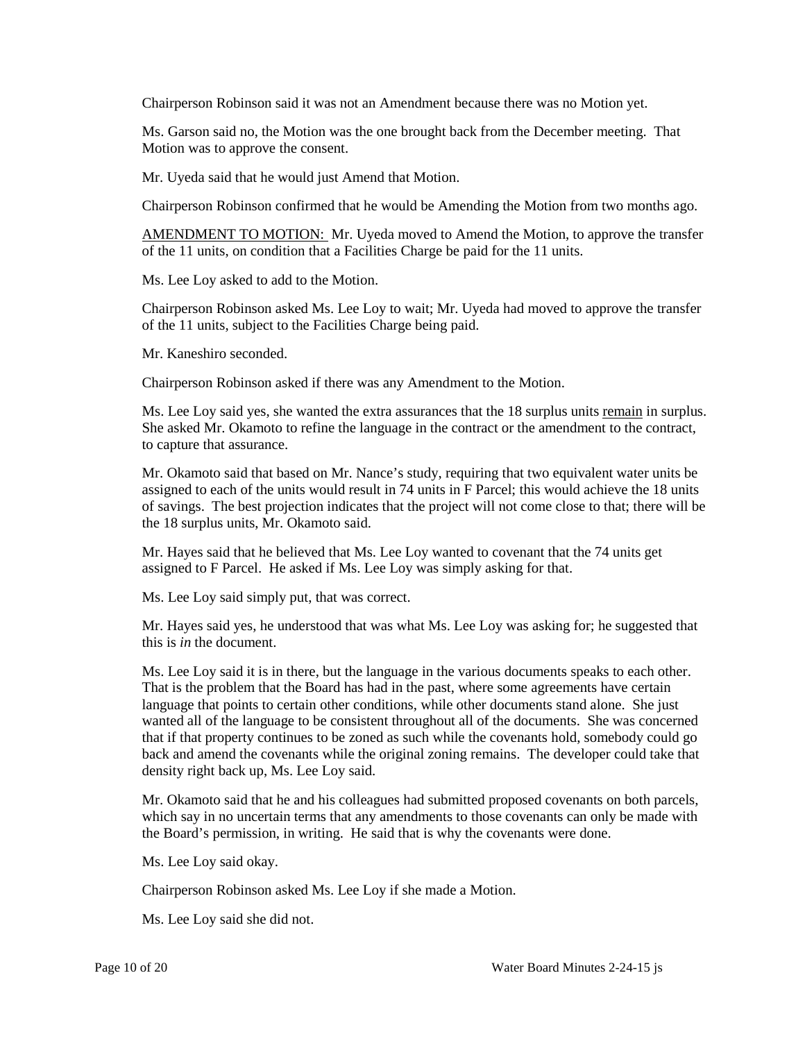Chairperson Robinson said it was not an Amendment because there was no Motion yet.

Ms. Garson said no, the Motion was the one brought back from the December meeting. That Motion was to approve the consent.

Mr. Uyeda said that he would just Amend that Motion.

Chairperson Robinson confirmed that he would be Amending the Motion from two months ago.

AMENDMENT TO MOTION: Mr. Uyeda moved to Amend the Motion, to approve the transfer of the 11 units, on condition that a Facilities Charge be paid for the 11 units.

Ms. Lee Loy asked to add to the Motion.

Chairperson Robinson asked Ms. Lee Loy to wait; Mr. Uyeda had moved to approve the transfer of the 11 units, subject to the Facilities Charge being paid.

Mr. Kaneshiro seconded.

Chairperson Robinson asked if there was any Amendment to the Motion.

Ms. Lee Loy said yes, she wanted the extra assurances that the 18 surplus units remain in surplus. She asked Mr. Okamoto to refine the language in the contract or the amendment to the contract, to capture that assurance.

Mr. Okamoto said that based on Mr. Nance's study, requiring that two equivalent water units be assigned to each of the units would result in 74 units in F Parcel; this would achieve the 18 units of savings. The best projection indicates that the project will not come close to that; there will be the 18 surplus units, Mr. Okamoto said.

Mr. Hayes said that he believed that Ms. Lee Loy wanted to covenant that the 74 units get assigned to F Parcel. He asked if Ms. Lee Loy was simply asking for that.

Ms. Lee Loy said simply put, that was correct.

Mr. Hayes said yes, he understood that was what Ms. Lee Loy was asking for; he suggested that this is *in* the document.

Ms. Lee Loy said it is in there, but the language in the various documents speaks to each other. That is the problem that the Board has had in the past, where some agreements have certain language that points to certain other conditions, while other documents stand alone. She just wanted all of the language to be consistent throughout all of the documents. She was concerned that if that property continues to be zoned as such while the covenants hold, somebody could go back and amend the covenants while the original zoning remains. The developer could take that density right back up, Ms. Lee Loy said.

Mr. Okamoto said that he and his colleagues had submitted proposed covenants on both parcels, which say in no uncertain terms that any amendments to those covenants can only be made with the Board's permission, in writing. He said that is why the covenants were done.

Ms. Lee Loy said okay.

Chairperson Robinson asked Ms. Lee Loy if she made a Motion.

Ms. Lee Loy said she did not.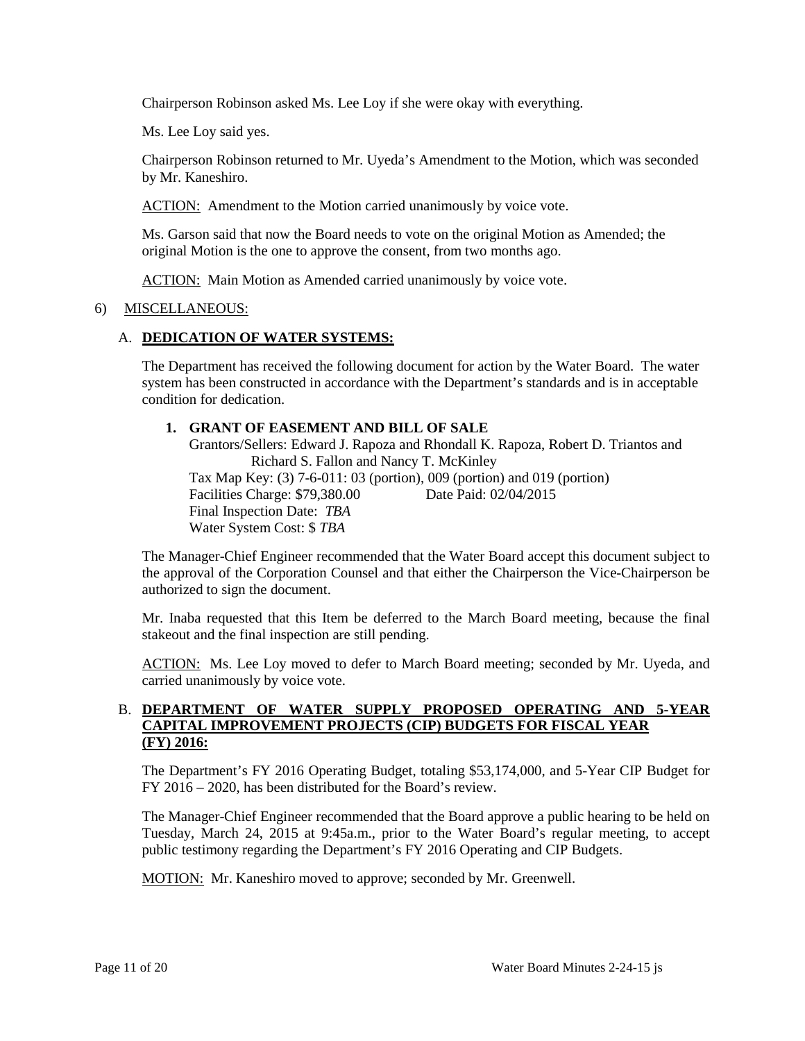Chairperson Robinson asked Ms. Lee Loy if she were okay with everything.

Ms. Lee Loy said yes.

Chairperson Robinson returned to Mr. Uyeda's Amendment to the Motion, which was seconded by Mr. Kaneshiro.

ACTION: Amendment to the Motion carried unanimously by voice vote.

Ms. Garson said that now the Board needs to vote on the original Motion as Amended; the original Motion is the one to approve the consent, from two months ago.

ACTION: Main Motion as Amended carried unanimously by voice vote.

### 6) MISCELLANEOUS:

## A. **DEDICATION OF WATER SYSTEMS:**

The Department has received the following document for action by the Water Board. The water system has been constructed in accordance with the Department's standards and is in acceptable condition for dedication.

### **1. GRANT OF EASEMENT AND BILL OF SALE**

Grantors/Sellers: Edward J. Rapoza and Rhondall K. Rapoza, Robert D. Triantos and Richard S. Fallon and Nancy T. McKinley Tax Map Key: (3) 7-6-011: 03 (portion), 009 (portion) and 019 (portion) Facilities Charge: \$79,380.00 Date Paid: 02/04/2015 Final Inspection Date: *TBA* Water System Cost: \$ *TBA*

The Manager-Chief Engineer recommended that the Water Board accept this document subject to the approval of the Corporation Counsel and that either the Chairperson the Vice-Chairperson be authorized to sign the document.

Mr. Inaba requested that this Item be deferred to the March Board meeting, because the final stakeout and the final inspection are still pending.

ACTION: Ms. Lee Loy moved to defer to March Board meeting; seconded by Mr. Uyeda, and carried unanimously by voice vote.

## B. **DEPARTMENT OF WATER SUPPLY PROPOSED OPERATING AND 5-YEAR CAPITAL IMPROVEMENT PROJECTS (CIP) BUDGETS FOR FISCAL YEAR (FY) 2016:**

The Department's FY 2016 Operating Budget, totaling \$53,174,000, and 5-Year CIP Budget for FY 2016 – 2020, has been distributed for the Board's review.

The Manager-Chief Engineer recommended that the Board approve a public hearing to be held on Tuesday, March 24, 2015 at 9:45a.m., prior to the Water Board's regular meeting, to accept public testimony regarding the Department's FY 2016 Operating and CIP Budgets.

MOTION: Mr. Kaneshiro moved to approve; seconded by Mr. Greenwell.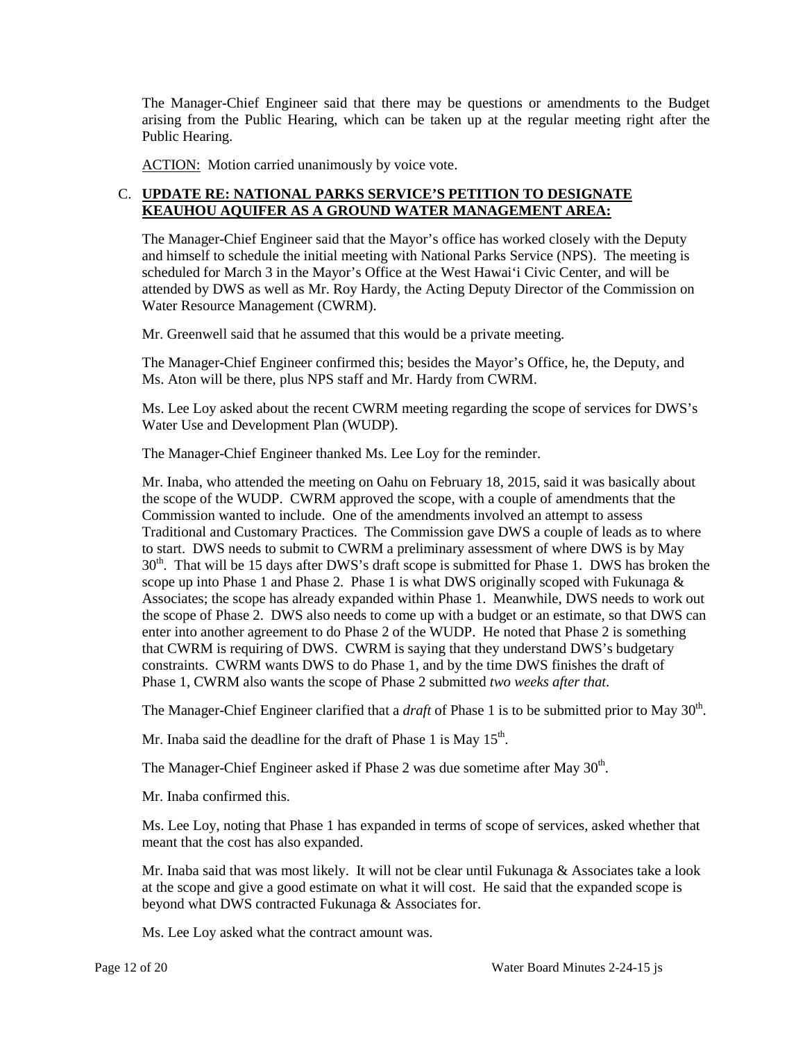The Manager-Chief Engineer said that there may be questions or amendments to the Budget arising from the Public Hearing, which can be taken up at the regular meeting right after the Public Hearing.

ACTION: Motion carried unanimously by voice vote.

## C. **UPDATE RE: NATIONAL PARKS SERVICE'S PETITION TO DESIGNATE KEAUHOU AQUIFER AS A GROUND WATER MANAGEMENT AREA:**

The Manager-Chief Engineer said that the Mayor's office has worked closely with the Deputy and himself to schedule the initial meeting with National Parks Service (NPS). The meeting is scheduled for March 3 in the Mayor's Office at the West Hawai'i Civic Center, and will be attended by DWS as well as Mr. Roy Hardy, the Acting Deputy Director of the Commission on Water Resource Management (CWRM).

Mr. Greenwell said that he assumed that this would be a private meeting.

The Manager-Chief Engineer confirmed this; besides the Mayor's Office, he, the Deputy, and Ms. Aton will be there, plus NPS staff and Mr. Hardy from CWRM.

Ms. Lee Loy asked about the recent CWRM meeting regarding the scope of services for DWS's Water Use and Development Plan (WUDP).

The Manager-Chief Engineer thanked Ms. Lee Loy for the reminder.

Mr. Inaba, who attended the meeting on Oahu on February 18, 2015, said it was basically about the scope of the WUDP. CWRM approved the scope, with a couple of amendments that the Commission wanted to include. One of the amendments involved an attempt to assess Traditional and Customary Practices. The Commission gave DWS a couple of leads as to where to start. DWS needs to submit to CWRM a preliminary assessment of where DWS is by May  $30<sup>th</sup>$ . That will be 15 days after DWS's draft scope is submitted for Phase 1. DWS has broken the scope up into Phase 1 and Phase 2. Phase 1 is what DWS originally scoped with Fukunaga  $\&$ Associates; the scope has already expanded within Phase 1. Meanwhile, DWS needs to work out the scope of Phase 2. DWS also needs to come up with a budget or an estimate, so that DWS can enter into another agreement to do Phase 2 of the WUDP. He noted that Phase 2 is something that CWRM is requiring of DWS. CWRM is saying that they understand DWS's budgetary constraints. CWRM wants DWS to do Phase 1, and by the time DWS finishes the draft of Phase 1, CWRM also wants the scope of Phase 2 submitted *two weeks after that*.

The Manager-Chief Engineer clarified that a *draft* of Phase 1 is to be submitted prior to May 30<sup>th</sup>.

Mr. Inaba said the deadline for the draft of Phase 1 is May 15<sup>th</sup>.

The Manager-Chief Engineer asked if Phase 2 was due sometime after May  $30<sup>th</sup>$ .

Mr. Inaba confirmed this.

Ms. Lee Loy, noting that Phase 1 has expanded in terms of scope of services, asked whether that meant that the cost has also expanded.

Mr. Inaba said that was most likely. It will not be clear until Fukunaga  $\&$  Associates take a look at the scope and give a good estimate on what it will cost. He said that the expanded scope is beyond what DWS contracted Fukunaga & Associates for.

Ms. Lee Loy asked what the contract amount was.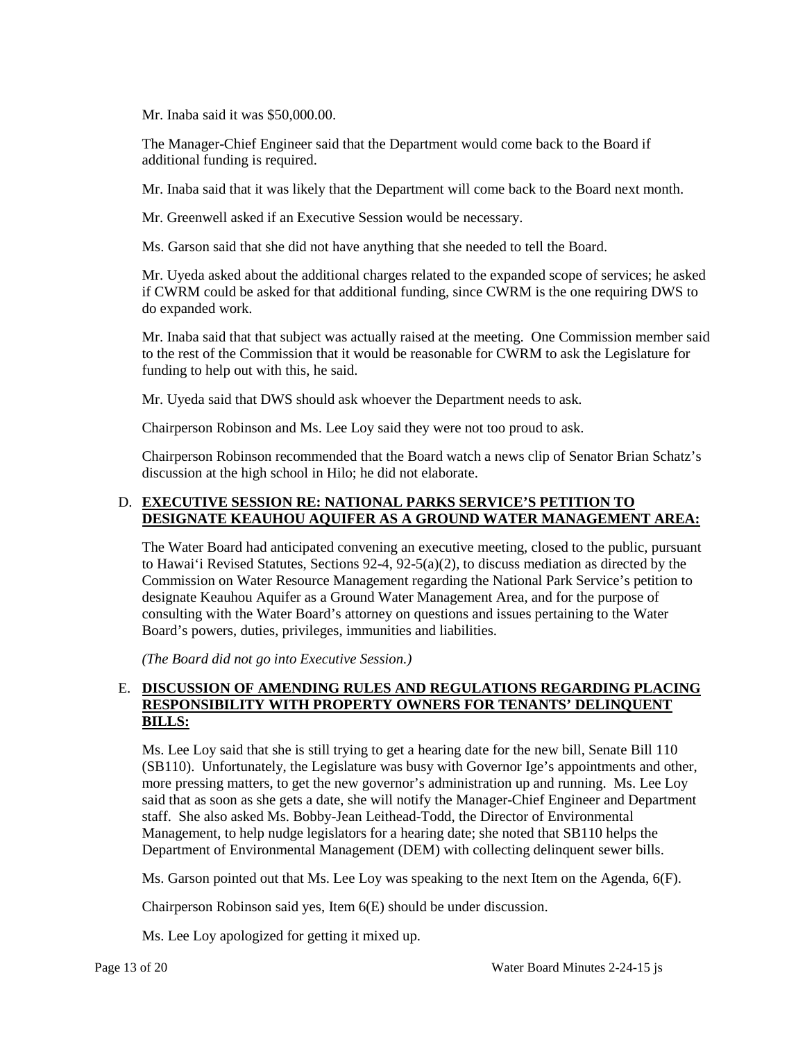Mr. Inaba said it was \$50,000.00.

The Manager-Chief Engineer said that the Department would come back to the Board if additional funding is required.

Mr. Inaba said that it was likely that the Department will come back to the Board next month.

Mr. Greenwell asked if an Executive Session would be necessary.

Ms. Garson said that she did not have anything that she needed to tell the Board.

Mr. Uyeda asked about the additional charges related to the expanded scope of services; he asked if CWRM could be asked for that additional funding, since CWRM is the one requiring DWS to do expanded work.

Mr. Inaba said that that subject was actually raised at the meeting. One Commission member said to the rest of the Commission that it would be reasonable for CWRM to ask the Legislature for funding to help out with this, he said.

Mr. Uyeda said that DWS should ask whoever the Department needs to ask.

Chairperson Robinson and Ms. Lee Loy said they were not too proud to ask.

Chairperson Robinson recommended that the Board watch a news clip of Senator Brian Schatz's discussion at the high school in Hilo; he did not elaborate.

### D. **EXECUTIVE SESSION RE: NATIONAL PARKS SERVICE'S PETITION TO DESIGNATE KEAUHOU AQUIFER AS A GROUND WATER MANAGEMENT AREA:**

The Water Board had anticipated convening an executive meeting, closed to the public, pursuant to Hawai'i Revised Statutes, Sections 92-4, 92-5(a)(2), to discuss mediation as directed by the Commission on Water Resource Management regarding the National Park Service's petition to designate Keauhou Aquifer as a Ground Water Management Area, and for the purpose of consulting with the Water Board's attorney on questions and issues pertaining to the Water Board's powers, duties, privileges, immunities and liabilities.

*(The Board did not go into Executive Session.)*

## E. **DISCUSSION OF AMENDING RULES AND REGULATIONS REGARDING PLACING RESPONSIBILITY WITH PROPERTY OWNERS FOR TENANTS' DELINQUENT BILLS:**

Ms. Lee Loy said that she is still trying to get a hearing date for the new bill, Senate Bill 110 (SB110). Unfortunately, the Legislature was busy with Governor Ige's appointments and other, more pressing matters, to get the new governor's administration up and running. Ms. Lee Loy said that as soon as she gets a date, she will notify the Manager-Chief Engineer and Department staff. She also asked Ms. Bobby-Jean Leithead-Todd, the Director of Environmental Management, to help nudge legislators for a hearing date; she noted that SB110 helps the Department of Environmental Management (DEM) with collecting delinquent sewer bills.

Ms. Garson pointed out that Ms. Lee Loy was speaking to the next Item on the Agenda, 6(F).

Chairperson Robinson said yes, Item 6(E) should be under discussion.

Ms. Lee Loy apologized for getting it mixed up.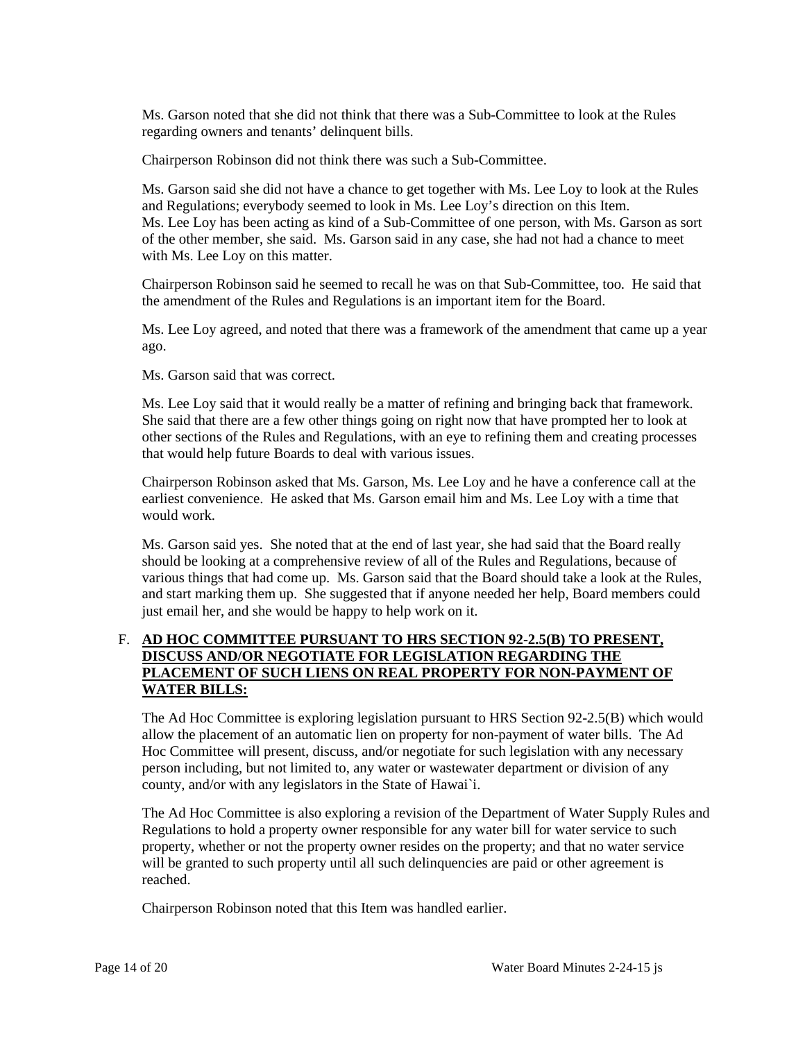Ms. Garson noted that she did not think that there was a Sub-Committee to look at the Rules regarding owners and tenants' delinquent bills.

Chairperson Robinson did not think there was such a Sub-Committee.

Ms. Garson said she did not have a chance to get together with Ms. Lee Loy to look at the Rules and Regulations; everybody seemed to look in Ms. Lee Loy's direction on this Item. Ms. Lee Loy has been acting as kind of a Sub-Committee of one person, with Ms. Garson as sort of the other member, she said. Ms. Garson said in any case, she had not had a chance to meet with Ms. Lee Loy on this matter.

Chairperson Robinson said he seemed to recall he was on that Sub-Committee, too. He said that the amendment of the Rules and Regulations is an important item for the Board.

Ms. Lee Loy agreed, and noted that there was a framework of the amendment that came up a year ago.

Ms. Garson said that was correct.

Ms. Lee Loy said that it would really be a matter of refining and bringing back that framework. She said that there are a few other things going on right now that have prompted her to look at other sections of the Rules and Regulations, with an eye to refining them and creating processes that would help future Boards to deal with various issues.

Chairperson Robinson asked that Ms. Garson, Ms. Lee Loy and he have a conference call at the earliest convenience. He asked that Ms. Garson email him and Ms. Lee Loy with a time that would work.

Ms. Garson said yes. She noted that at the end of last year, she had said that the Board really should be looking at a comprehensive review of all of the Rules and Regulations, because of various things that had come up. Ms. Garson said that the Board should take a look at the Rules, and start marking them up. She suggested that if anyone needed her help, Board members could just email her, and she would be happy to help work on it.

## F. **AD HOC COMMITTEE PURSUANT TO HRS SECTION 92-2.5(B) TO PRESENT, DISCUSS AND/OR NEGOTIATE FOR LEGISLATION REGARDING THE PLACEMENT OF SUCH LIENS ON REAL PROPERTY FOR NON-PAYMENT OF WATER BILLS:**

The Ad Hoc Committee is exploring legislation pursuant to HRS Section 92-2.5(B) which would allow the placement of an automatic lien on property for non-payment of water bills. The Ad Hoc Committee will present, discuss, and/or negotiate for such legislation with any necessary person including, but not limited to, any water or wastewater department or division of any county, and/or with any legislators in the State of Hawai`i.

The Ad Hoc Committee is also exploring a revision of the Department of Water Supply Rules and Regulations to hold a property owner responsible for any water bill for water service to such property, whether or not the property owner resides on the property; and that no water service will be granted to such property until all such delinquencies are paid or other agreement is reached.

Chairperson Robinson noted that this Item was handled earlier.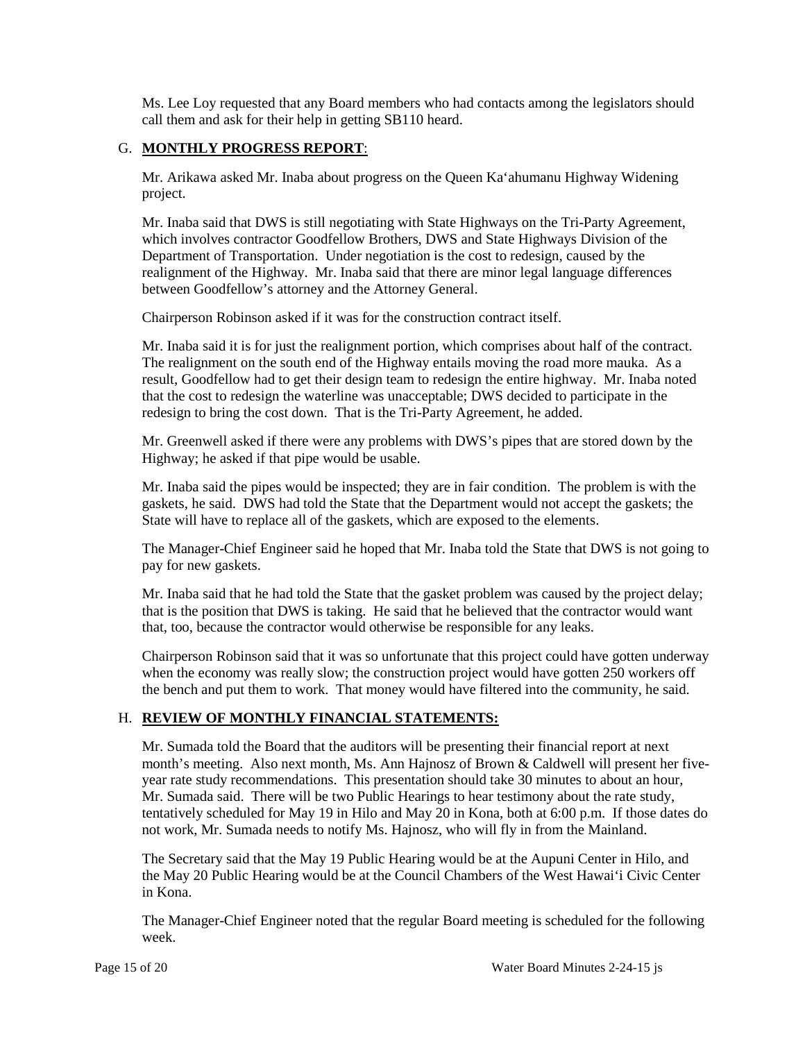Ms. Lee Loy requested that any Board members who had contacts among the legislators should call them and ask for their help in getting SB110 heard.

## G. **MONTHLY PROGRESS REPORT**:

Mr. Arikawa asked Mr. Inaba about progress on the Queen Ka'ahumanu Highway Widening project.

Mr. Inaba said that DWS is still negotiating with State Highways on the Tri-Party Agreement, which involves contractor Goodfellow Brothers, DWS and State Highways Division of the Department of Transportation. Under negotiation is the cost to redesign, caused by the realignment of the Highway. Mr. Inaba said that there are minor legal language differences between Goodfellow's attorney and the Attorney General.

Chairperson Robinson asked if it was for the construction contract itself.

Mr. Inaba said it is for just the realignment portion, which comprises about half of the contract. The realignment on the south end of the Highway entails moving the road more mauka. As a result, Goodfellow had to get their design team to redesign the entire highway. Mr. Inaba noted that the cost to redesign the waterline was unacceptable; DWS decided to participate in the redesign to bring the cost down. That is the Tri-Party Agreement, he added.

Mr. Greenwell asked if there were any problems with DWS's pipes that are stored down by the Highway; he asked if that pipe would be usable.

Mr. Inaba said the pipes would be inspected; they are in fair condition. The problem is with the gaskets, he said. DWS had told the State that the Department would not accept the gaskets; the State will have to replace all of the gaskets, which are exposed to the elements.

The Manager-Chief Engineer said he hoped that Mr. Inaba told the State that DWS is not going to pay for new gaskets.

Mr. Inaba said that he had told the State that the gasket problem was caused by the project delay; that is the position that DWS is taking. He said that he believed that the contractor would want that, too, because the contractor would otherwise be responsible for any leaks.

Chairperson Robinson said that it was so unfortunate that this project could have gotten underway when the economy was really slow; the construction project would have gotten 250 workers off the bench and put them to work. That money would have filtered into the community, he said.

### H. **REVIEW OF MONTHLY FINANCIAL STATEMENTS:**

Mr. Sumada told the Board that the auditors will be presenting their financial report at next month's meeting. Also next month, Ms. Ann Hajnosz of Brown & Caldwell will present her fiveyear rate study recommendations. This presentation should take 30 minutes to about an hour, Mr. Sumada said. There will be two Public Hearings to hear testimony about the rate study, tentatively scheduled for May 19 in Hilo and May 20 in Kona, both at 6:00 p.m. If those dates do not work, Mr. Sumada needs to notify Ms. Hajnosz, who will fly in from the Mainland.

The Secretary said that the May 19 Public Hearing would be at the Aupuni Center in Hilo, and the May 20 Public Hearing would be at the Council Chambers of the West Hawai'i Civic Center in Kona.

The Manager-Chief Engineer noted that the regular Board meeting is scheduled for the following week.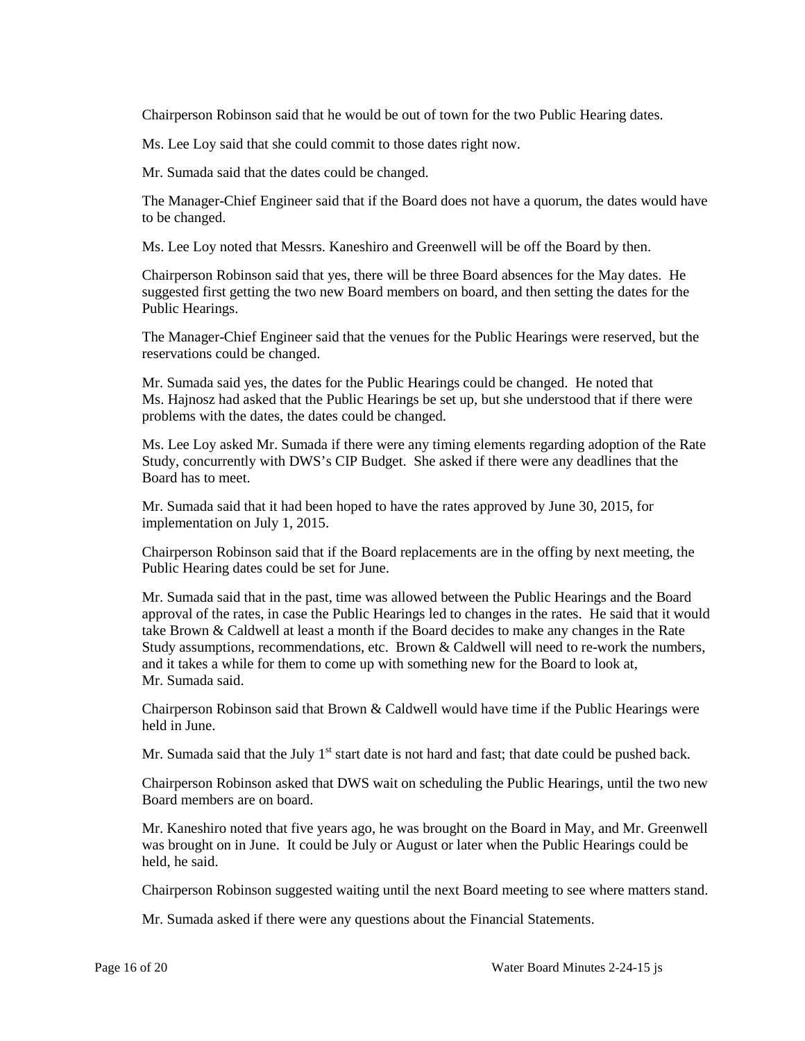Chairperson Robinson said that he would be out of town for the two Public Hearing dates.

Ms. Lee Loy said that she could commit to those dates right now.

Mr. Sumada said that the dates could be changed.

The Manager-Chief Engineer said that if the Board does not have a quorum, the dates would have to be changed.

Ms. Lee Loy noted that Messrs. Kaneshiro and Greenwell will be off the Board by then.

Chairperson Robinson said that yes, there will be three Board absences for the May dates. He suggested first getting the two new Board members on board, and then setting the dates for the Public Hearings.

The Manager-Chief Engineer said that the venues for the Public Hearings were reserved, but the reservations could be changed.

Mr. Sumada said yes, the dates for the Public Hearings could be changed. He noted that Ms. Hajnosz had asked that the Public Hearings be set up, but she understood that if there were problems with the dates, the dates could be changed.

Ms. Lee Loy asked Mr. Sumada if there were any timing elements regarding adoption of the Rate Study, concurrently with DWS's CIP Budget. She asked if there were any deadlines that the Board has to meet.

Mr. Sumada said that it had been hoped to have the rates approved by June 30, 2015, for implementation on July 1, 2015.

Chairperson Robinson said that if the Board replacements are in the offing by next meeting, the Public Hearing dates could be set for June.

Mr. Sumada said that in the past, time was allowed between the Public Hearings and the Board approval of the rates, in case the Public Hearings led to changes in the rates. He said that it would take Brown & Caldwell at least a month if the Board decides to make any changes in the Rate Study assumptions, recommendations, etc. Brown & Caldwell will need to re-work the numbers, and it takes a while for them to come up with something new for the Board to look at, Mr. Sumada said.

Chairperson Robinson said that Brown & Caldwell would have time if the Public Hearings were held in June.

Mr. Sumada said that the July  $1<sup>st</sup>$  start date is not hard and fast; that date could be pushed back.

Chairperson Robinson asked that DWS wait on scheduling the Public Hearings, until the two new Board members are on board.

Mr. Kaneshiro noted that five years ago, he was brought on the Board in May, and Mr. Greenwell was brought on in June. It could be July or August or later when the Public Hearings could be held, he said.

Chairperson Robinson suggested waiting until the next Board meeting to see where matters stand.

Mr. Sumada asked if there were any questions about the Financial Statements.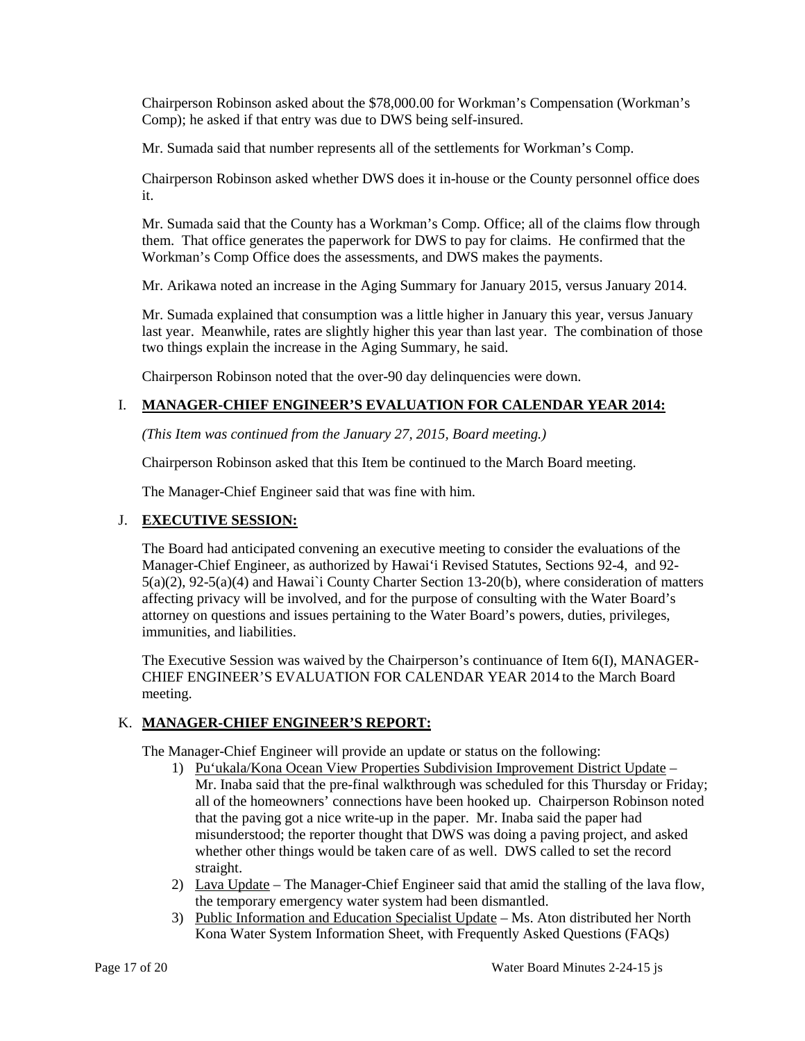Chairperson Robinson asked about the \$78,000.00 for Workman's Compensation (Workman's Comp); he asked if that entry was due to DWS being self-insured.

Mr. Sumada said that number represents all of the settlements for Workman's Comp.

Chairperson Robinson asked whether DWS does it in-house or the County personnel office does it.

Mr. Sumada said that the County has a Workman's Comp. Office; all of the claims flow through them. That office generates the paperwork for DWS to pay for claims. He confirmed that the Workman's Comp Office does the assessments, and DWS makes the payments.

Mr. Arikawa noted an increase in the Aging Summary for January 2015, versus January 2014.

Mr. Sumada explained that consumption was a little higher in January this year, versus January last year. Meanwhile, rates are slightly higher this year than last year. The combination of those two things explain the increase in the Aging Summary, he said.

Chairperson Robinson noted that the over-90 day delinquencies were down.

# I. **MANAGER-CHIEF ENGINEER'S EVALUATION FOR CALENDAR YEAR 2014:**

*(This Item was continued from the January 27, 2015, Board meeting.)*

Chairperson Robinson asked that this Item be continued to the March Board meeting.

The Manager-Chief Engineer said that was fine with him.

## J. **EXECUTIVE SESSION:**

The Board had anticipated convening an executive meeting to consider the evaluations of the Manager-Chief Engineer, as authorized by Hawai'i Revised Statutes, Sections 92-4, and 92- 5(a)(2), 92-5(a)(4) and Hawai`i County Charter Section 13-20(b), where consideration of matters affecting privacy will be involved, and for the purpose of consulting with the Water Board's attorney on questions and issues pertaining to the Water Board's powers, duties, privileges, immunities, and liabilities.

The Executive Session was waived by the Chairperson's continuance of Item 6(I), MANAGER-CHIEF ENGINEER'S EVALUATION FOR CALENDAR YEAR 2014 to the March Board meeting.

## K. **MANAGER-CHIEF ENGINEER'S REPORT:**

The Manager-Chief Engineer will provide an update or status on the following:

- 1) Pu'ukala/Kona Ocean View Properties Subdivision Improvement District Update Mr. Inaba said that the pre-final walkthrough was scheduled for this Thursday or Friday; all of the homeowners' connections have been hooked up. Chairperson Robinson noted that the paving got a nice write-up in the paper. Mr. Inaba said the paper had misunderstood; the reporter thought that DWS was doing a paving project, and asked whether other things would be taken care of as well. DWS called to set the record straight.
- 2) Lava Update The Manager-Chief Engineer said that amid the stalling of the lava flow, the temporary emergency water system had been dismantled.
- 3) Public Information and Education Specialist Update Ms. Aton distributed her North Kona Water System Information Sheet, with Frequently Asked Questions (FAQs)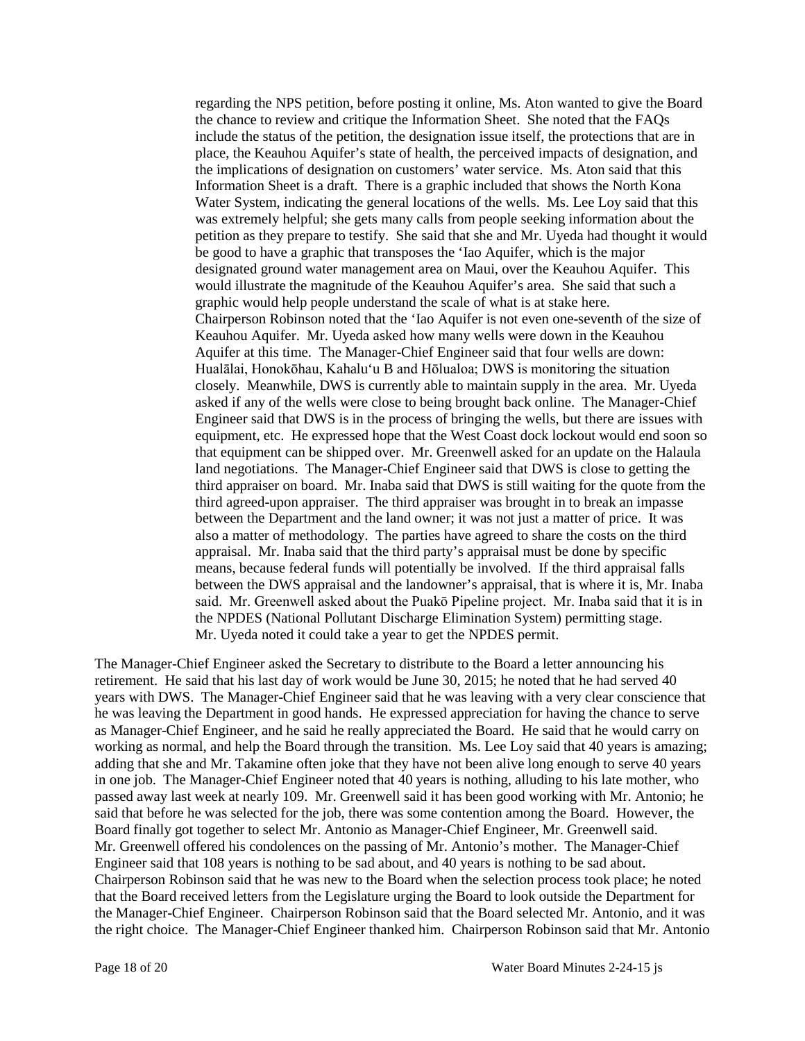regarding the NPS petition, before posting it online, Ms. Aton wanted to give the Board the chance to review and critique the Information Sheet. She noted that the FAQs include the status of the petition, the designation issue itself, the protections that are in place, the Keauhou Aquifer's state of health, the perceived impacts of designation, and the implications of designation on customers' water service. Ms. Aton said that this Information Sheet is a draft. There is a graphic included that shows the North Kona Water System, indicating the general locations of the wells. Ms. Lee Loy said that this was extremely helpful; she gets many calls from people seeking information about the petition as they prepare to testify. She said that she and Mr. Uyeda had thought it would be good to have a graphic that transposes the 'Iao Aquifer, which is the major designated ground water management area on Maui, over the Keauhou Aquifer. This would illustrate the magnitude of the Keauhou Aquifer's area. She said that such a graphic would help people understand the scale of what is at stake here. Chairperson Robinson noted that the 'Iao Aquifer is not even one-seventh of the size of Keauhou Aquifer. Mr. Uyeda asked how many wells were down in the Keauhou Aquifer at this time. The Manager-Chief Engineer said that four wells are down: Hualālai, Honokōhau, Kahalu'u B and Hōlualoa; DWS is monitoring the situation closely. Meanwhile, DWS is currently able to maintain supply in the area. Mr. Uyeda asked if any of the wells were close to being brought back online. The Manager-Chief Engineer said that DWS is in the process of bringing the wells, but there are issues with equipment, etc. He expressed hope that the West Coast dock lockout would end soon so that equipment can be shipped over. Mr. Greenwell asked for an update on the Halaula land negotiations. The Manager-Chief Engineer said that DWS is close to getting the third appraiser on board. Mr. Inaba said that DWS is still waiting for the quote from the third agreed-upon appraiser. The third appraiser was brought in to break an impasse between the Department and the land owner; it was not just a matter of price. It was also a matter of methodology. The parties have agreed to share the costs on the third appraisal. Mr. Inaba said that the third party's appraisal must be done by specific means, because federal funds will potentially be involved. If the third appraisal falls between the DWS appraisal and the landowner's appraisal, that is where it is, Mr. Inaba said. Mr. Greenwell asked about the Puakō Pipeline project. Mr. Inaba said that it is in the NPDES (National Pollutant Discharge Elimination System) permitting stage. Mr. Uyeda noted it could take a year to get the NPDES permit.

The Manager-Chief Engineer asked the Secretary to distribute to the Board a letter announcing his retirement. He said that his last day of work would be June 30, 2015; he noted that he had served 40 years with DWS. The Manager-Chief Engineer said that he was leaving with a very clear conscience that he was leaving the Department in good hands. He expressed appreciation for having the chance to serve as Manager-Chief Engineer, and he said he really appreciated the Board. He said that he would carry on working as normal, and help the Board through the transition. Ms. Lee Loy said that 40 years is amazing; adding that she and Mr. Takamine often joke that they have not been alive long enough to serve 40 years in one job. The Manager-Chief Engineer noted that 40 years is nothing, alluding to his late mother, who passed away last week at nearly 109. Mr. Greenwell said it has been good working with Mr. Antonio; he said that before he was selected for the job, there was some contention among the Board. However, the Board finally got together to select Mr. Antonio as Manager-Chief Engineer, Mr. Greenwell said. Mr. Greenwell offered his condolences on the passing of Mr. Antonio's mother. The Manager-Chief Engineer said that 108 years is nothing to be sad about, and 40 years is nothing to be sad about. Chairperson Robinson said that he was new to the Board when the selection process took place; he noted that the Board received letters from the Legislature urging the Board to look outside the Department for the Manager-Chief Engineer. Chairperson Robinson said that the Board selected Mr. Antonio, and it was the right choice. The Manager-Chief Engineer thanked him. Chairperson Robinson said that Mr. Antonio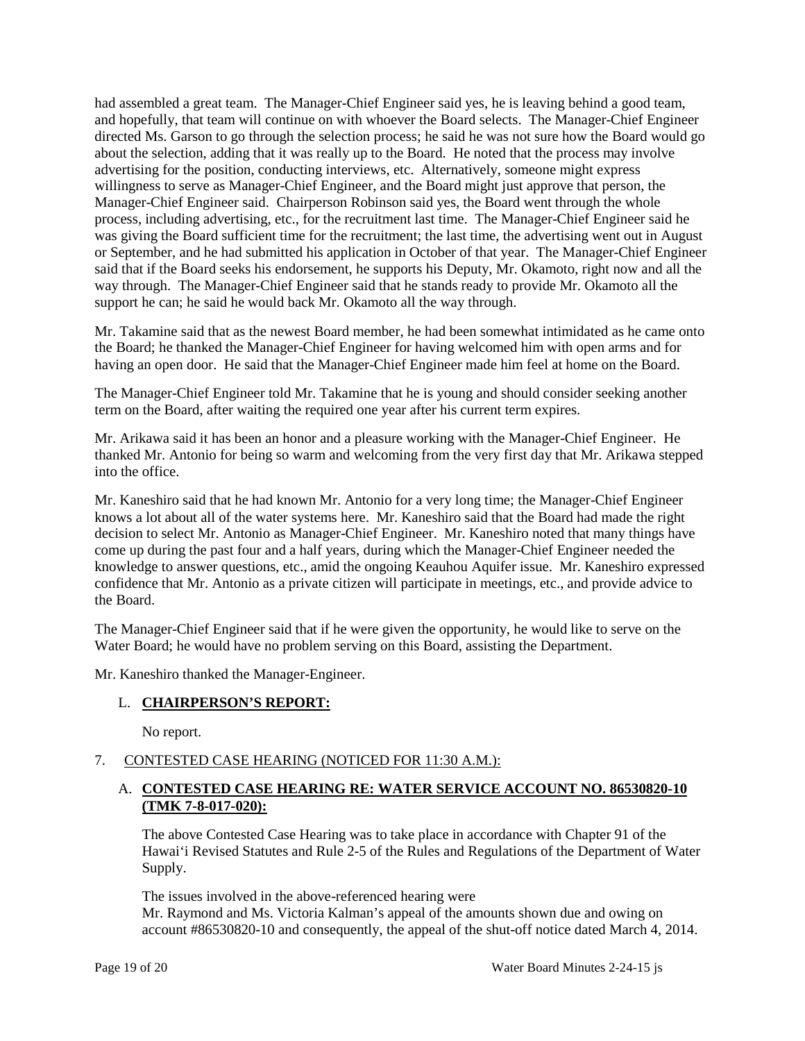had assembled a great team. The Manager-Chief Engineer said yes, he is leaving behind a good team, and hopefully, that team will continue on with whoever the Board selects. The Manager-Chief Engineer directed Ms. Garson to go through the selection process; he said he was not sure how the Board would go about the selection, adding that it was really up to the Board. He noted that the process may involve advertising for the position, conducting interviews, etc. Alternatively, someone might express willingness to serve as Manager-Chief Engineer, and the Board might just approve that person, the Manager-Chief Engineer said. Chairperson Robinson said yes, the Board went through the whole process, including advertising, etc., for the recruitment last time. The Manager-Chief Engineer said he was giving the Board sufficient time for the recruitment; the last time, the advertising went out in August or September, and he had submitted his application in October of that year. The Manager-Chief Engineer said that if the Board seeks his endorsement, he supports his Deputy, Mr. Okamoto, right now and all the way through. The Manager-Chief Engineer said that he stands ready to provide Mr. Okamoto all the support he can; he said he would back Mr. Okamoto all the way through.

Mr. Takamine said that as the newest Board member, he had been somewhat intimidated as he came onto the Board; he thanked the Manager-Chief Engineer for having welcomed him with open arms and for having an open door. He said that the Manager-Chief Engineer made him feel at home on the Board.

The Manager-Chief Engineer told Mr. Takamine that he is young and should consider seeking another term on the Board, after waiting the required one year after his current term expires.

Mr. Arikawa said it has been an honor and a pleasure working with the Manager-Chief Engineer. He thanked Mr. Antonio for being so warm and welcoming from the very first day that Mr. Arikawa stepped into the office.

Mr. Kaneshiro said that he had known Mr. Antonio for a very long time; the Manager-Chief Engineer knows a lot about all of the water systems here. Mr. Kaneshiro said that the Board had made the right decision to select Mr. Antonio as Manager-Chief Engineer. Mr. Kaneshiro noted that many things have come up during the past four and a half years, during which the Manager-Chief Engineer needed the knowledge to answer questions, etc., amid the ongoing Keauhou Aquifer issue. Mr. Kaneshiro expressed confidence that Mr. Antonio as a private citizen will participate in meetings, etc., and provide advice to the Board.

The Manager-Chief Engineer said that if he were given the opportunity, he would like to serve on the Water Board; he would have no problem serving on this Board, assisting the Department.

Mr. Kaneshiro thanked the Manager-Engineer.

### L. **CHAIRPERSON'S REPORT:**

No report.

## 7. CONTESTED CASE HEARING (NOTICED FOR 11:30 A.M.):

## A. **CONTESTED CASE HEARING RE: WATER SERVICE ACCOUNT NO. 86530820-10 (TMK 7-8-017-020):**

The above Contested Case Hearing was to take place in accordance with Chapter 91 of the Hawai'i Revised Statutes and Rule 2-5 of the Rules and Regulations of the Department of Water Supply.

The issues involved in the above-referenced hearing were Mr. Raymond and Ms. Victoria Kalman's appeal of the amounts shown due and owing on account #86530820-10 and consequently, the appeal of the shut-off notice dated March 4, 2014.